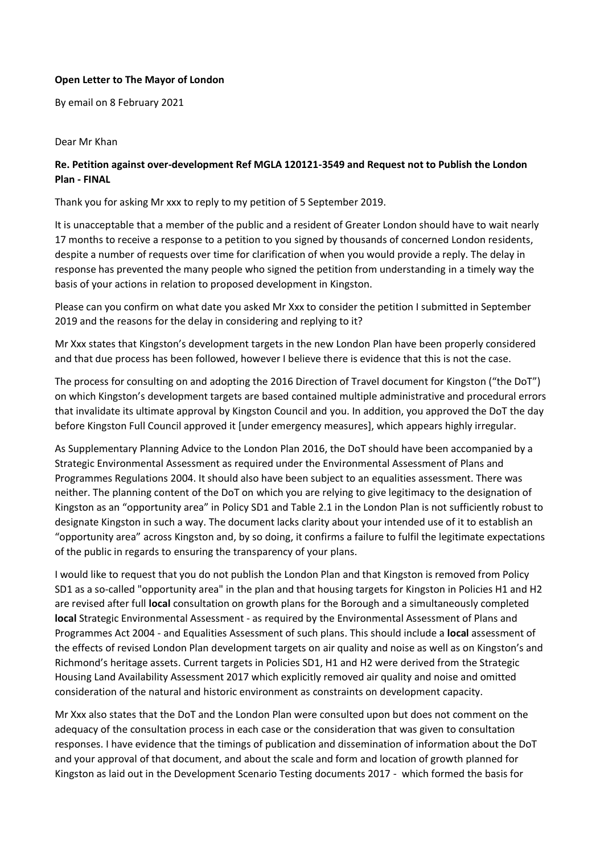## **Open Letter to The Mayor of London**

By email on 8 February 2021

## Dear Mr Khan

## **Re. Petition against over-development Ref MGLA 120121-3549 and Request not to Publish the London Plan - FINAL**

Thank you for asking Mr xxx to reply to my petition of 5 September 2019.

It is unacceptable that a member of the public and a resident of Greater London should have to wait nearly 17 months to receive a response to a petition to you signed by thousands of concerned London residents, despite a number of requests over time for clarification of when you would provide a reply. The delay in response has prevented the many people who signed the petition from understanding in a timely way the basis of your actions in relation to proposed development in Kingston.

Please can you confirm on what date you asked Mr Xxx to consider the petition I submitted in September 2019 and the reasons for the delay in considering and replying to it?

Mr Xxx states that Kingston's development targets in the new London Plan have been properly considered and that due process has been followed, however I believe there is evidence that this is not the case.

The process for consulting on and adopting the 2016 Direction of Travel document for Kingston ("the DoT") on which Kingston's development targets are based contained multiple administrative and procedural errors that invalidate its ultimate approval by Kingston Council and you. In addition, you approved the DoT the day before Kingston Full Council approved it [under emergency measures], which appears highly irregular.

As Supplementary Planning Advice to the London Plan 2016, the DoT should have been accompanied by a Strategic Environmental Assessment as required under the Environmental Assessment of Plans and Programmes Regulations 2004. It should also have been subject to an equalities assessment. There was neither. The planning content of the DoT on which you are relying to give legitimacy to the designation of Kingston as an "opportunity area" in Policy SD1 and Table 2.1 in the London Plan is not sufficiently robust to designate Kingston in such a way. The document lacks clarity about your intended use of it to establish an "opportunity area" across Kingston and, by so doing, it confirms a failure to fulfil the legitimate expectations of the public in regards to ensuring the transparency of your plans.

I would like to request that you do not publish the London Plan and that Kingston is removed from Policy SD1 as a so-called "opportunity area" in the plan and that housing targets for Kingston in Policies H1 and H2 are revised after full **local** consultation on growth plans for the Borough and a simultaneously completed **local** Strategic Environmental Assessment - as required by the Environmental Assessment of Plans and Programmes Act 2004 - and Equalities Assessment of such plans. This should include a **local** assessment of the effects of revised London Plan development targets on air quality and noise as well as on Kingston's and Richmond's heritage assets. Current targets in Policies SD1, H1 and H2 were derived from the Strategic Housing Land Availability Assessment 2017 which explicitly removed air quality and noise and omitted consideration of the natural and historic environment as constraints on development capacity.

Mr Xxx also states that the DoT and the London Plan were consulted upon but does not comment on the adequacy of the consultation process in each case or the consideration that was given to consultation responses. I have evidence that the timings of publication and dissemination of information about the DoT and your approval of that document, and about the scale and form and location of growth planned for Kingston as laid out in the Development Scenario Testing documents 2017 - which formed the basis for